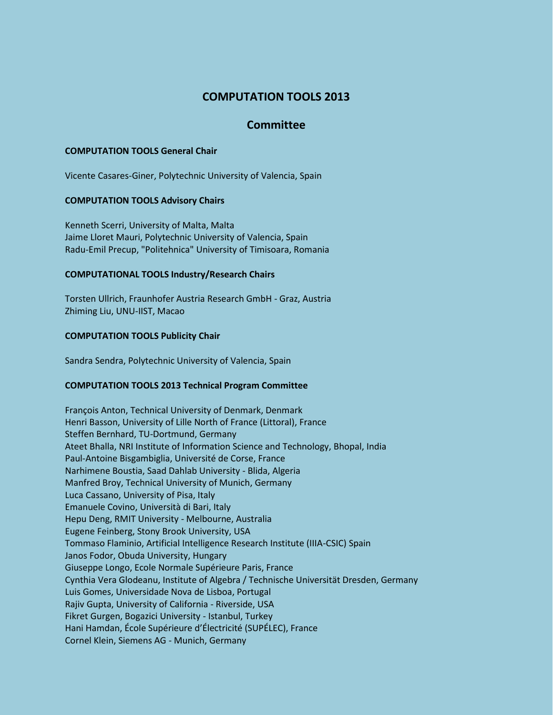# **COMPUTATION TOOLS 2013**

## **Committee**

#### **COMPUTATION TOOLS General Chair**

Vicente Casares-Giner, Polytechnic University of Valencia, Spain

#### **COMPUTATION TOOLS Advisory Chairs**

Kenneth Scerri, University of Malta, Malta Jaime Lloret Mauri, Polytechnic University of Valencia, Spain Radu-Emil Precup, "Politehnica" University of Timisoara, Romania

#### **COMPUTATIONAL TOOLS Industry/Research Chairs**

Torsten Ullrich, Fraunhofer Austria Research GmbH - Graz, Austria Zhiming Liu, UNU-IIST, Macao

#### **COMPUTATION TOOLS Publicity Chair**

Sandra Sendra, Polytechnic University of Valencia, Spain

### **COMPUTATION TOOLS 2013 Technical Program Committee**

François Anton, Technical University of Denmark, Denmark Henri Basson, University of Lille North of France (Littoral), France Steffen Bernhard, TU-Dortmund, Germany Ateet Bhalla, NRI Institute of Information Science and Technology, Bhopal, India Paul-Antoine Bisgambiglia, Université de Corse, France Narhimene Boustia, Saad Dahlab University - Blida, Algeria Manfred Broy, Technical University of Munich, Germany Luca Cassano, University of Pisa, Italy Emanuele Covino, Università di Bari, Italy Hepu Deng, RMIT University - Melbourne, Australia Eugene Feinberg, Stony Brook University, USA Tommaso Flaminio, Artificial Intelligence Research Institute (IIIA-CSIC) Spain Janos Fodor, Obuda University, Hungary Giuseppe Longo, Ecole Normale Supérieure Paris, France Cynthia Vera Glodeanu, Institute of Algebra / Technische Universität Dresden, Germany Luis Gomes, Universidade Nova de Lisboa, Portugal Rajiv Gupta, University of California - Riverside, USA Fikret Gurgen, Bogazici University - Istanbul, Turkey Hani Hamdan, École Supérieure d'Électricité (SUPÉLEC), France Cornel Klein, Siemens AG - Munich, Germany